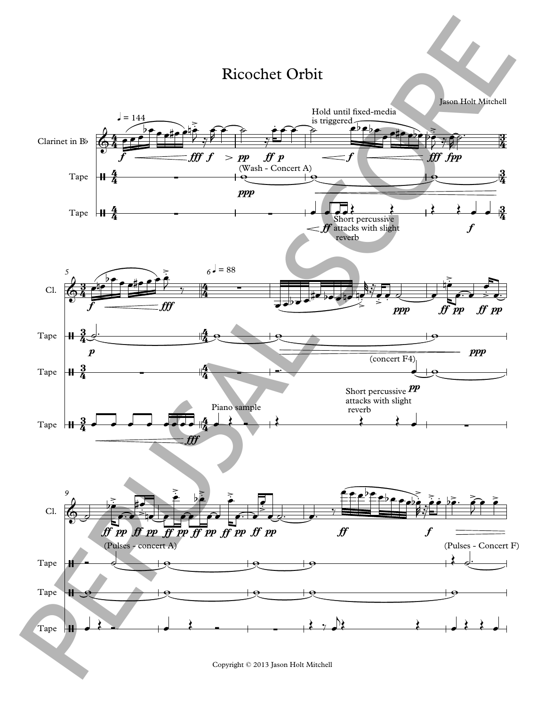## Ricochet Orbit